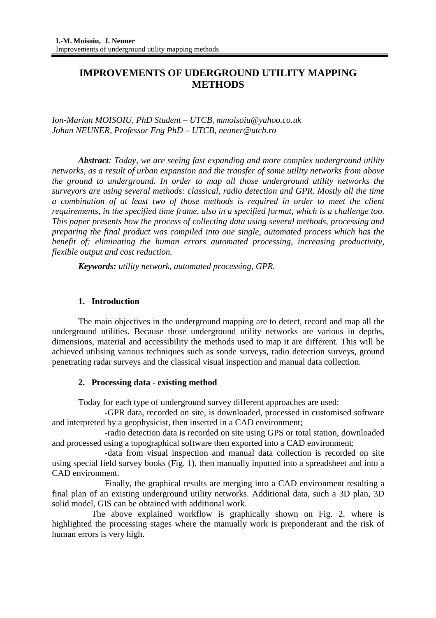# **IMPROVEMENTS OF UDERGROUND UTILITY MAPPING METHODS**

*Ion-Marian MOISOIU, PhD Student – UTCB, mmoisoiu@yahoo.co.uk Johan NEUNER, Professor Eng PhD – UTCB, neuner@utcb.ro* 

*Abstract: Today, we are seeing fast expanding and more complex underground utility networks, as a result of urban expansion and the transfer of some utility networks from above the ground to underground. In order to map all those underground utility networks the surveyors are using several methods: classical, radio detection and GPR. Mostly all the time a combination of at least two of those methods is required in order to meet the client requirements, in the specified time frame, also in a specified format, which is a challenge too. This paper presents how the process of collecting data using several methods, processing and preparing the final product was compiled into one single, automated process which has the benefit of: eliminating the human errors automated processing, increasing productivity, flexible output and cost reduction.* 

*Keywords: utility network, automated processing, GPR.* 

#### **1. Introduction**

The main objectives in the underground mapping are to detect, record and map all the underground utilities. Because those underground utility networks are various in depths, dimensions, material and accessibility the methods used to map it are different. This will be achieved utilising various techniques such as sonde surveys, radio detection surveys, ground penetrating radar surveys and the classical visual inspection and manual data collection.

### **2. Processing data - existing method**

Today for each type of underground survey different approaches are used:

 -GPR data, recorded on site, is downloaded, processed in customised software and interpreted by a geophysicist, then inserted in a CAD environment;

 -radio detection data is recorded on site using GPS or total station, downloaded and processed using a topographical software then exported into a CAD environment;

 -data from visual inspection and manual data collection is recorded on site using special field survey books (Fig. 1), then manually inputted into a spreadsheet and into a CAD environment.

Finally, the graphical results are merging into a CAD environment resulting a final plan of an existing underground utility networks. Additional data, such a 3D plan, 3D solid model, GIS can be obtained with additional work.

 The above explained workflow is graphically shown on Fig. 2. where is highlighted the processing stages where the manually work is preponderant and the risk of human errors is very high.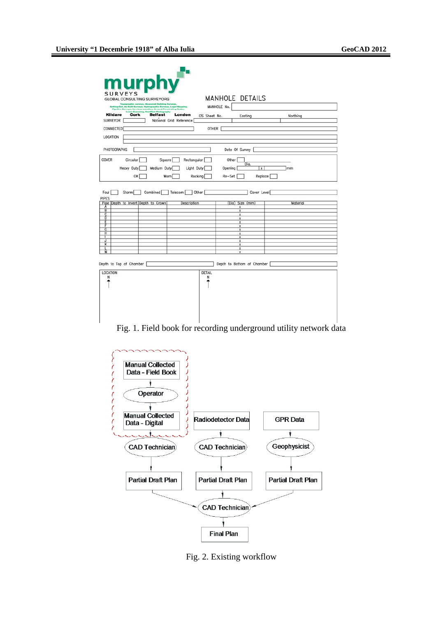| GeoCAD 2012 |  |
|-------------|--|
|-------------|--|

| Setting-Out, As-Built Surveys, Hydrographic Surveys, Legal Mapp<br><b>Belfast</b><br><b>Kildare</b><br>Cork<br>National Grid Reference<br><b>SURVEYOR</b> | London<br>OS Sheet No. | MANHOLE No.<br>Easting              | Northing |
|-----------------------------------------------------------------------------------------------------------------------------------------------------------|------------------------|-------------------------------------|----------|
| <b>CONNECTED</b>                                                                                                                                          | OTHER                  |                                     |          |
| <b>LOCATION</b>                                                                                                                                           |                        |                                     |          |
| PHOTOGRAPHS                                                                                                                                               |                        | Date Of Survey                      |          |
| COVER<br>Circular <sup>[</sup><br>Square                                                                                                                  | Rectangular            | Other                               |          |
| Heavy Duty<br>Medium Duty                                                                                                                                 | Light Duty             | Dia.<br>Opening<br>$\pmb{\times}$   | mm       |
|                                                                                                                                                           |                        |                                     |          |
| OK<br>Worn                                                                                                                                                | Rocking                | $Re-Set$<br>Replace                 |          |
| Storm<br>Combined<br>Telecom<br><b>PIPES</b><br>Pipe Depth to Invert Depth to Crown<br>A                                                                  | Other<br>Description   | Cover Level<br>(Dia) Size (mm)<br>× | Material |
| B                                                                                                                                                         |                        | ×                                   |          |
| С<br>D                                                                                                                                                    |                        | ×<br>×                              |          |
| Ε<br>F                                                                                                                                                    |                        | ×                                   |          |
| G                                                                                                                                                         |                        | $\pmb{\times}$<br>×                 |          |
| Η                                                                                                                                                         |                        | $\boldsymbol{\mathsf{x}}$           |          |
| J                                                                                                                                                         |                        | ×<br>$\overline{\mathbf{x}}$        |          |
| κ                                                                                                                                                         |                        | ×                                   |          |
| $\overline{\mathsf{M}}$                                                                                                                                   |                        | ×                                   |          |
|                                                                                                                                                           |                        | ×                                   |          |
| Depth to Top of Chamber                                                                                                                                   |                        | Depth to Bottom of Chamber          |          |
|                                                                                                                                                           |                        |                                     |          |
|                                                                                                                                                           | <b>DETAIL</b>          |                                     |          |
| LOCATION                                                                                                                                                  |                        |                                     |          |
| N                                                                                                                                                         | Ν                      |                                     |          |
|                                                                                                                                                           |                        |                                     |          |
|                                                                                                                                                           |                        |                                     |          |

Fig. 1. Field book for recording underground utility network data



Fig. 2. Existing workflow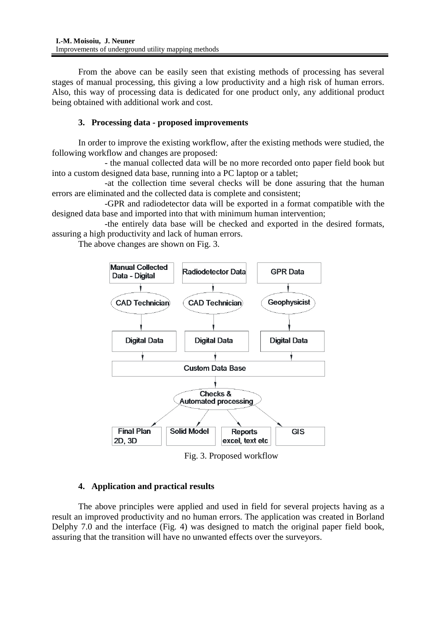From the above can be easily seen that existing methods of processing has several stages of manual processing, this giving a low productivity and a high risk of human errors. Also, this way of processing data is dedicated for one product only, any additional product being obtained with additional work and cost.

## **3. Processing data - proposed improvements**

In order to improve the existing workflow, after the existing methods were studied, the following workflow and changes are proposed:

 - the manual collected data will be no more recorded onto paper field book but into a custom designed data base, running into a PC laptop or a tablet;

 -at the collection time several checks will be done assuring that the human errors are eliminated and the collected data is complete and consistent;

 -GPR and radiodetector data will be exported in a format compatible with the designed data base and imported into that with minimum human intervention;

 -the entirely data base will be checked and exported in the desired formats, assuring a high productivity and lack of human errors.

The above changes are shown on Fig. 3.



Fig. 3. Proposed workflow

### **4. Application and practical results**

The above principles were applied and used in field for several projects having as a result an improved productivity and no human errors. The application was created in Borland Delphy 7.0 and the interface (Fig. 4) was designed to match the original paper field book, assuring that the transition will have no unwanted effects over the surveyors.